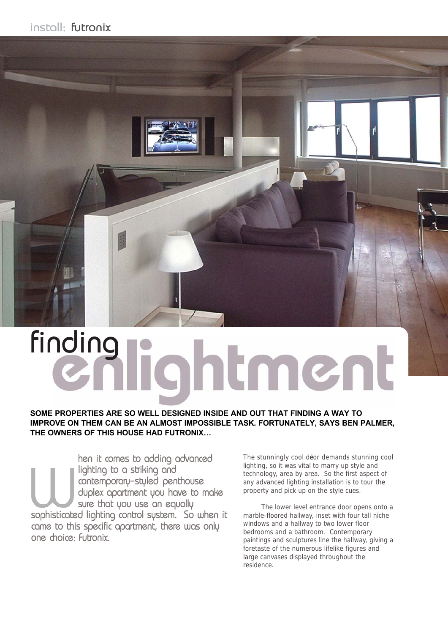

# finding rightment

**SOME PROPERTIES ARE SO WELL DESIGNED INSIDE AND OUT THAT FINDING A WAY TO IMPROVE ON THEM CAN BE AN ALMOST IMPOSSIBLE TASK. FORTUNATELY, SAYS BEN PALMER, THE OWNERS OF THIS HOUSE HAD FUTRONIX…**

**Sophisticate**<br> **Sophisticate**<br> **Came** to the hen it comes to adding advanced lighting to a striking and contemporary-styled penthouse duplex apartment you have to make sure that you use an equally sophisticated lighting control system. So when it came to this specific apartment, there was only one choice: Futronix.

The stunningly cool déor demands stunning cool lighting, so it was vital to marry up style and technology, area by area. So the first aspect of any advanced lighting installation is to tour the property and pick up on the style cues.

The lower level entrance door opens onto a marble-floored hallway, inset with four tall niche windows and a hallway to two lower floor bedrooms and a bathroom. Contemporary paintings and sculptures line the hallway, giving a foretaste of the numerous lifelike figures and large canvases displayed throughout the residence.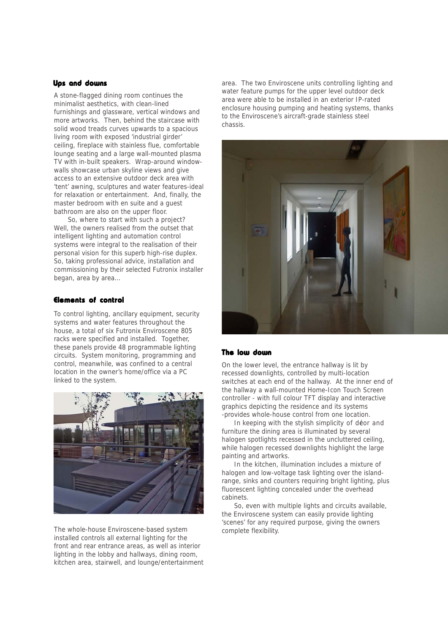### Ups and downs

A stone-flagged dining room continues the minimalist aesthetics, with clean-lined furnishings and glassware, vertical windows and more artworks. Then, behind the staircase with solid wood treads curves upwards to a spacious living room with exposed 'industrial girder' ceiling, fireplace with stainless flue, comfortable lounge seating and a large wall-mounted plasma TV with in-built speakers. Wrap-around windowwalls showcase urban skyline views and give access to an extensive outdoor deck area with 'tent' awning, sculptures and water features-ideal for relaxation or entertainment. And, finally, the master bedroom with en suite and a guest bathroom are also on the upper floor.

So, where to start with such a project? Well, the owners realised from the outset that intelligent lighting and automation control systems were integral to the realisation of their personal vision for this superb high-rise duplex. So, taking professional advice, installation and commissioning by their selected Futronix installer began, area by area…

### Elements of control

To control lighting, ancillary equipment, security systems and water features throughout the house, a total of six Futronix Enviroscene 805 racks were specified and installed. Together, these panels provide 48 programmable lighting circuits. System monitoring, programming and control, meanwhile, was confined to a central location in the owner's home/office via a PC linked to the system.



The whole-house Enviroscene-based system installed controls all external lighting for the front and rear entrance areas, as well as interior lighting in the lobby and hallways, dining room, kitchen area, stairwell, and lounge/entertainment area. The two Enviroscene units controlling lighting and water feature pumps for the upper level outdoor deck area were able to be installed in an exterior IP-rated enclosure housing pumping and heating systems, thanks to the Enviroscene's aircraft-grade stainless steel chassis.



### The low down

On the lower level, the entrance hallway is lit by recessed downlights, controlled by multi-location switches at each end of the hallway. At the inner end of the hallway a wall-mounted Home-Icon Touch Screen controller - with full colour TFT display and interactive graphics depicting the residence and its systems -provides whole-house control from one location.

In keeping with the stylish simplicity of décor and furniture the dining area is illuminated by several halogen spotlights recessed in the uncluttered ceiling, while halogen recessed downlights highlight the large painting and artworks.

In the kitchen, illumination includes a mixture of halogen and low-voltage task lighting over the islandrange, sinks and counters requiring bright lighting, plus fluorescent lighting concealed under the overhead cabinets.

So, even with multiple lights and circuits available, the Enviroscene system can easily provide lighting 'scenes' for any required purpose, giving the owners complete flexibility.